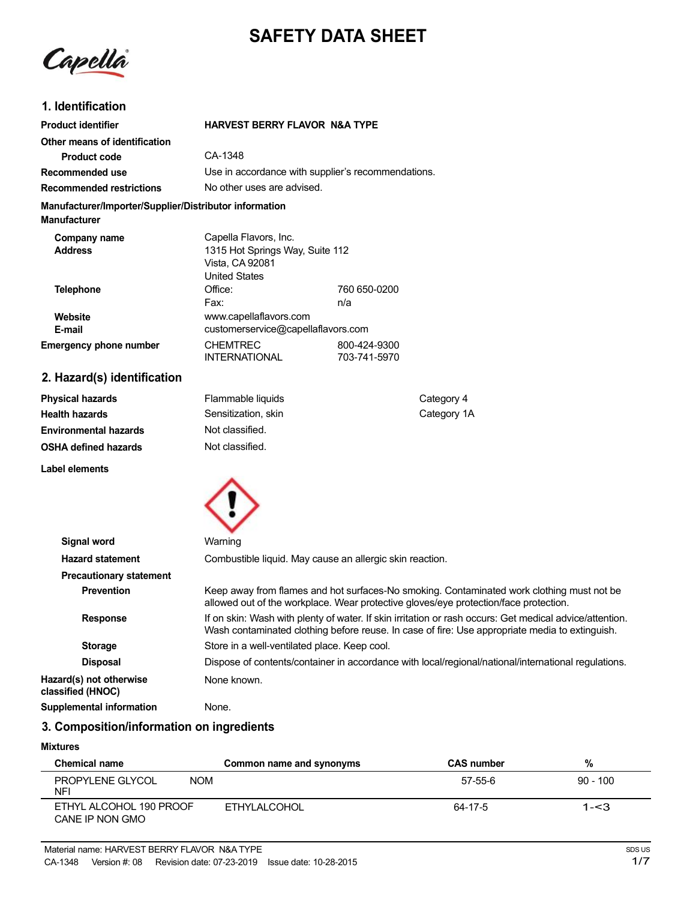# **SAFETY DATA SHEET**

Capella

# **1. Identification**

| <b>Product identifier</b>                                                     | <b>HARVEST BERRY FLAVOR N&amp;A TYPE</b>                                                     |                              |
|-------------------------------------------------------------------------------|----------------------------------------------------------------------------------------------|------------------------------|
| Other means of identification                                                 |                                                                                              |                              |
| <b>Product code</b>                                                           | CA-1348                                                                                      |                              |
| Recommended use                                                               | Use in accordance with supplier's recommendations.                                           |                              |
| <b>Recommended restrictions</b>                                               | No other uses are advised.                                                                   |                              |
| Manufacturer/Importer/Supplier/Distributor information<br><b>Manufacturer</b> |                                                                                              |                              |
| Company name<br><b>Address</b>                                                | Capella Flavors, Inc.<br>1315 Hot Springs Way, Suite 112<br>Vista, CA 92081<br>United States |                              |
| <b>Telephone</b>                                                              | Office:<br>Fax:                                                                              | 760 650-0200<br>n/a          |
| Website<br>E-mail                                                             | www.capellaflavors.com<br>customerservice@capellaflavors.com                                 |                              |
| <b>Emergency phone number</b>                                                 | <b>CHEMTREC</b><br><b>INTERNATIONAL</b>                                                      | 800-424-9300<br>703-741-5970 |
| 2. Hazard(s) identification                                                   |                                                                                              |                              |

| Physical hazards             | Flammable liquids   | Category 4  |
|------------------------------|---------------------|-------------|
| Health hazards               | Sensitization, skin | Category 1A |
| <b>Environmental hazards</b> | Not classified.     |             |
| OSHA defined hazards         | Not classified.     |             |
|                              |                     |             |

**Label elements**



| <b>Signal word</b>                           | Warning                                                                                                                                                                                                   |
|----------------------------------------------|-----------------------------------------------------------------------------------------------------------------------------------------------------------------------------------------------------------|
| <b>Hazard statement</b>                      | Combustible liquid. May cause an allergic skin reaction.                                                                                                                                                  |
| <b>Precautionary statement</b>               |                                                                                                                                                                                                           |
| <b>Prevention</b>                            | Keep away from flames and hot surfaces-No smoking. Contaminated work clothing must not be<br>allowed out of the workplace. Wear protective gloves/eye protection/face protection.                         |
| <b>Response</b>                              | If on skin: Wash with plenty of water. If skin irritation or rash occurs: Get medical advice/attention.<br>Wash contaminated clothing before reuse. In case of fire: Use appropriate media to extinguish. |
| <b>Storage</b>                               | Store in a well-ventilated place. Keep cool.                                                                                                                                                              |
| <b>Disposal</b>                              | Dispose of contents/container in accordance with local/regional/national/international regulations.                                                                                                       |
| Hazard(s) not otherwise<br>classified (HNOC) | None known.                                                                                                                                                                                               |
| Supplemental information                     | None.                                                                                                                                                                                                     |

# **3. Composition/information on ingredients**

## **Mixtures**

| <b>Chemical name</b>                         | Common name and synonyms | <b>CAS number</b> | %          |
|----------------------------------------------|--------------------------|-------------------|------------|
| PROPYLENE GLYCOL<br><b>NOM</b><br><b>NFI</b> |                          | 57-55-6           | $90 - 100$ |
| ETHYL ALCOHOL 190 PROOF<br>CANE IP NON GMO   | ETHYLALCOHOL             | 64-17-5           | $1 - 3$    |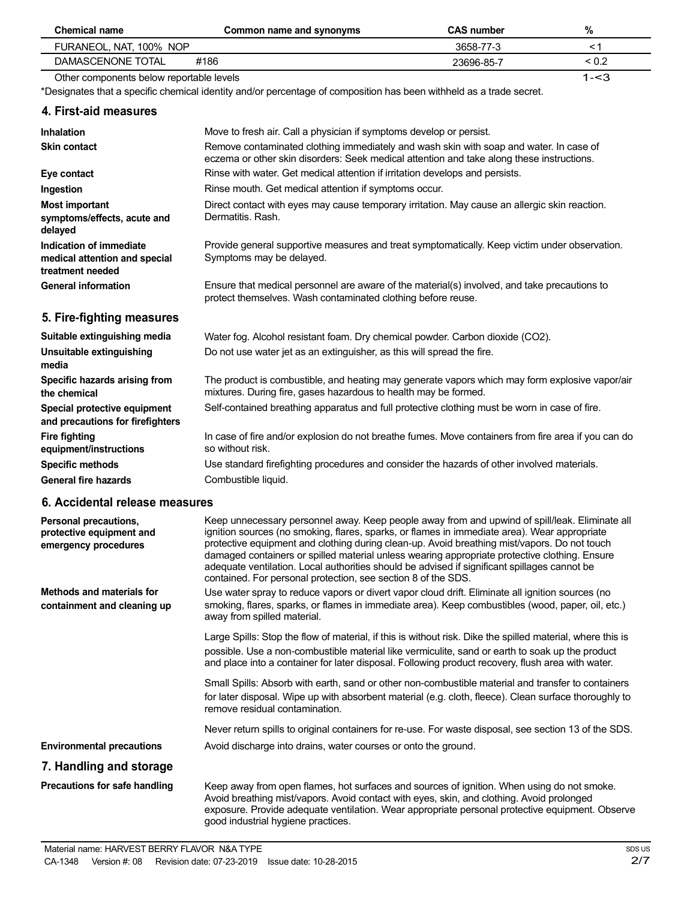| <b>Chemical name</b>                                                         | Common name and synonyms                                                                                                                                                                                                                                                                                                                                                                                                                                                                                                                                         | <b>CAS number</b> | $\%$       |
|------------------------------------------------------------------------------|------------------------------------------------------------------------------------------------------------------------------------------------------------------------------------------------------------------------------------------------------------------------------------------------------------------------------------------------------------------------------------------------------------------------------------------------------------------------------------------------------------------------------------------------------------------|-------------------|------------|
| FURANEOL, NAT, 100% NOP                                                      |                                                                                                                                                                                                                                                                                                                                                                                                                                                                                                                                                                  | 3658-77-3         | < 1        |
| DAMASCENONE TOTAL                                                            | #186                                                                                                                                                                                                                                                                                                                                                                                                                                                                                                                                                             | 23696-85-7        | ${}_{0.2}$ |
| Other components below reportable levels                                     |                                                                                                                                                                                                                                                                                                                                                                                                                                                                                                                                                                  |                   | $1 - 3$    |
|                                                                              | *Designates that a specific chemical identity and/or percentage of composition has been withheld as a trade secret.                                                                                                                                                                                                                                                                                                                                                                                                                                              |                   |            |
| 4. First-aid measures                                                        |                                                                                                                                                                                                                                                                                                                                                                                                                                                                                                                                                                  |                   |            |
| <b>Inhalation</b>                                                            | Move to fresh air. Call a physician if symptoms develop or persist.                                                                                                                                                                                                                                                                                                                                                                                                                                                                                              |                   |            |
| <b>Skin contact</b>                                                          | Remove contaminated clothing immediately and wash skin with soap and water. In case of<br>eczema or other skin disorders: Seek medical attention and take along these instructions.                                                                                                                                                                                                                                                                                                                                                                              |                   |            |
| Eye contact                                                                  | Rinse with water. Get medical attention if irritation develops and persists.                                                                                                                                                                                                                                                                                                                                                                                                                                                                                     |                   |            |
| Ingestion                                                                    | Rinse mouth. Get medical attention if symptoms occur.                                                                                                                                                                                                                                                                                                                                                                                                                                                                                                            |                   |            |
| Most important<br>symptoms/effects, acute and<br>delayed                     | Direct contact with eyes may cause temporary irritation. May cause an allergic skin reaction.<br>Dermatitis. Rash.                                                                                                                                                                                                                                                                                                                                                                                                                                               |                   |            |
| Indication of immediate<br>medical attention and special<br>treatment needed | Provide general supportive measures and treat symptomatically. Keep victim under observation.<br>Symptoms may be delayed.                                                                                                                                                                                                                                                                                                                                                                                                                                        |                   |            |
| <b>General information</b>                                                   | Ensure that medical personnel are aware of the material(s) involved, and take precautions to<br>protect themselves. Wash contaminated clothing before reuse.                                                                                                                                                                                                                                                                                                                                                                                                     |                   |            |
| 5. Fire-fighting measures                                                    |                                                                                                                                                                                                                                                                                                                                                                                                                                                                                                                                                                  |                   |            |
| Suitable extinguishing media                                                 | Water fog. Alcohol resistant foam. Dry chemical powder. Carbon dioxide (CO2).                                                                                                                                                                                                                                                                                                                                                                                                                                                                                    |                   |            |
| Unsuitable extinguishing<br>media                                            | Do not use water jet as an extinguisher, as this will spread the fire.                                                                                                                                                                                                                                                                                                                                                                                                                                                                                           |                   |            |
| Specific hazards arising from<br>the chemical                                | The product is combustible, and heating may generate vapors which may form explosive vapor/air<br>mixtures. During fire, gases hazardous to health may be formed.                                                                                                                                                                                                                                                                                                                                                                                                |                   |            |
| Special protective equipment<br>and precautions for firefighters             | Self-contained breathing apparatus and full protective clothing must be worn in case of fire.                                                                                                                                                                                                                                                                                                                                                                                                                                                                    |                   |            |
| <b>Fire fighting</b><br>equipment/instructions                               | In case of fire and/or explosion do not breathe fumes. Move containers from fire area if you can do<br>so without risk.                                                                                                                                                                                                                                                                                                                                                                                                                                          |                   |            |
| <b>Specific methods</b>                                                      | Use standard firefighting procedures and consider the hazards of other involved materials.                                                                                                                                                                                                                                                                                                                                                                                                                                                                       |                   |            |
| <b>General fire hazards</b>                                                  | Combustible liquid.                                                                                                                                                                                                                                                                                                                                                                                                                                                                                                                                              |                   |            |
| 6. Accidental release measures                                               |                                                                                                                                                                                                                                                                                                                                                                                                                                                                                                                                                                  |                   |            |
| Personal precautions,<br>protective equipment and<br>emergency procedures    | Keep unnecessary personnel away. Keep people away from and upwind of spill/leak. Eliminate all<br>ignition sources (no smoking, flares, sparks, or flames in immediate area). Wear appropriate<br>protective equipment and clothing during clean-up. Avoid breathing mist/vapors. Do not touch<br>damaged containers or spilled material unless wearing appropriate protective clothing. Ensure<br>adequate ventilation. Local authorities should be advised if significant spillages cannot be<br>contained. For personal protection, see section 8 of the SDS. |                   |            |
| <b>Methods and materials for</b><br>containment and cleaning up              | Use water spray to reduce vapors or divert vapor cloud drift. Eliminate all ignition sources (no<br>smoking, flares, sparks, or flames in immediate area). Keep combustibles (wood, paper, oil, etc.)<br>away from spilled material.                                                                                                                                                                                                                                                                                                                             |                   |            |
|                                                                              | Large Spills: Stop the flow of material, if this is without risk. Dike the spilled material, where this is<br>possible. Use a non-combustible material like vermiculite, sand or earth to soak up the product<br>and place into a container for later disposal. Following product recovery, flush area with water.                                                                                                                                                                                                                                               |                   |            |
|                                                                              | Small Spills: Absorb with earth, sand or other non-combustible material and transfer to containers<br>for later disposal. Wipe up with absorbent material (e.g. cloth, fleece). Clean surface thoroughly to<br>remove residual contamination.                                                                                                                                                                                                                                                                                                                    |                   |            |
|                                                                              | Never return spills to original containers for re-use. For waste disposal, see section 13 of the SDS.                                                                                                                                                                                                                                                                                                                                                                                                                                                            |                   |            |
| <b>Environmental precautions</b>                                             | Avoid discharge into drains, water courses or onto the ground.                                                                                                                                                                                                                                                                                                                                                                                                                                                                                                   |                   |            |
| 7. Handling and storage                                                      |                                                                                                                                                                                                                                                                                                                                                                                                                                                                                                                                                                  |                   |            |

**Precautions for safe handling** Keep away from open flames, hot surfaces and sources of ignition. When using do not smoke. Avoid breathing mist/vapors. Avoid contact with eyes, skin, and clothing. Avoid prolonged exposure. Provide adequate ventilation. Wear appropriate personal protective equipment. Observe good industrial hygiene practices.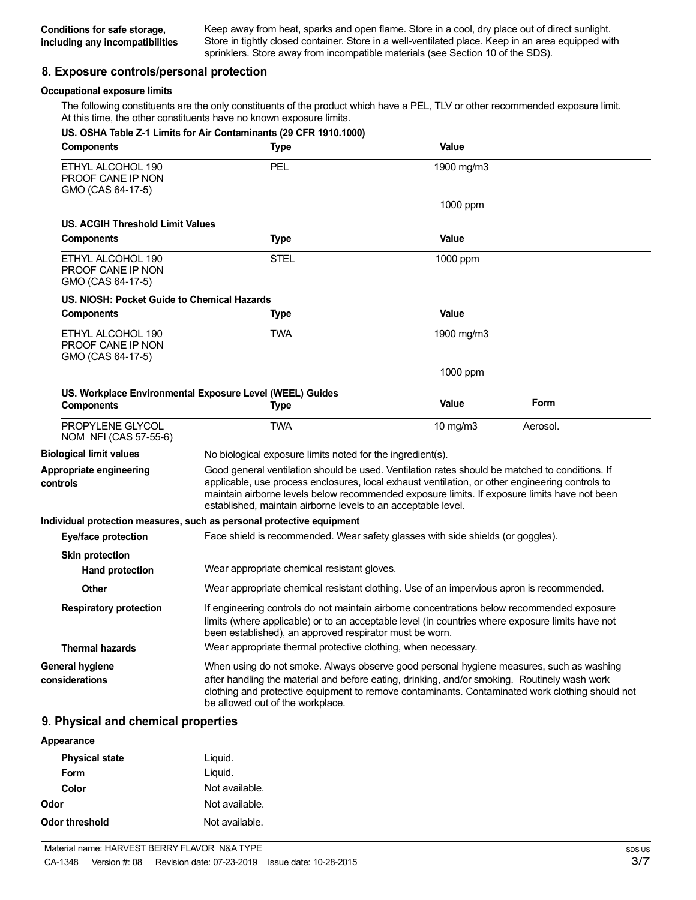Keep away from heat, sparks and open flame. Store in a cool, dry place out of direct sunlight. Store in tightly closed container. Store in a well-ventilated place. Keep in an area equipped with sprinklers. Store away from incompatible materials (see Section 10 of the SDS).

## **8. Exposure controls/personal protection**

## **Occupational exposure limits**

The following constituents are the only constituents of the product which have a PEL, TLV or other recommended exposure limit. At this time, the other constituents have no known exposure limits.

| <b>Components</b>                                           | US. OSHA Table Z-1 Limits for Air Contaminants (29 CFR 1910.1000)<br><b>Type</b>                                                                                                                                                                                                                                                                                   | Value        |          |
|-------------------------------------------------------------|--------------------------------------------------------------------------------------------------------------------------------------------------------------------------------------------------------------------------------------------------------------------------------------------------------------------------------------------------------------------|--------------|----------|
| ETHYL ALCOHOL 190<br>PROOF CANE IP NON<br>GMO (CAS 64-17-5) | PEL                                                                                                                                                                                                                                                                                                                                                                | 1900 mg/m3   |          |
|                                                             |                                                                                                                                                                                                                                                                                                                                                                    | 1000 ppm     |          |
| US. ACGIH Threshold Limit Values                            |                                                                                                                                                                                                                                                                                                                                                                    |              |          |
| <b>Components</b>                                           | <b>Type</b>                                                                                                                                                                                                                                                                                                                                                        | Value        |          |
| ETHYL ALCOHOL 190<br>PROOF CANE IP NON<br>GMO (CAS 64-17-5) | <b>STEL</b>                                                                                                                                                                                                                                                                                                                                                        | 1000 ppm     |          |
| US. NIOSH: Pocket Guide to Chemical Hazards                 |                                                                                                                                                                                                                                                                                                                                                                    |              |          |
| <b>Components</b>                                           | <b>Type</b>                                                                                                                                                                                                                                                                                                                                                        | Value        |          |
| ETHYL ALCOHOL 190<br>PROOF CANE IP NON<br>GMO (CAS 64-17-5) | <b>TWA</b>                                                                                                                                                                                                                                                                                                                                                         | 1900 mg/m3   |          |
|                                                             |                                                                                                                                                                                                                                                                                                                                                                    | 1000 ppm     |          |
| <b>Components</b>                                           | US. Workplace Environmental Exposure Level (WEEL) Guides<br><b>Type</b>                                                                                                                                                                                                                                                                                            | <b>Value</b> | Form     |
|                                                             |                                                                                                                                                                                                                                                                                                                                                                    |              |          |
| PROPYLENE GLYCOL<br>NOM NFI (CAS 57-55-6)                   | <b>TWA</b>                                                                                                                                                                                                                                                                                                                                                         | 10 $mg/m3$   | Aerosol. |
| <b>Biological limit values</b>                              | No biological exposure limits noted for the ingredient(s).                                                                                                                                                                                                                                                                                                         |              |          |
| Appropriate engineering<br>controls                         | Good general ventilation should be used. Ventilation rates should be matched to conditions. If<br>applicable, use process enclosures, local exhaust ventilation, or other engineering controls to<br>maintain airborne levels below recommended exposure limits. If exposure limits have not been<br>established, maintain airborne levels to an acceptable level. |              |          |
|                                                             | Individual protection measures, such as personal protective equipment                                                                                                                                                                                                                                                                                              |              |          |
| <b>Eye/face protection</b>                                  | Face shield is recommended. Wear safety glasses with side shields (or goggles).                                                                                                                                                                                                                                                                                    |              |          |
| <b>Skin protection</b>                                      |                                                                                                                                                                                                                                                                                                                                                                    |              |          |
| <b>Hand protection</b>                                      | Wear appropriate chemical resistant gloves.                                                                                                                                                                                                                                                                                                                        |              |          |
| <b>Other</b>                                                | Wear appropriate chemical resistant clothing. Use of an impervious apron is recommended.                                                                                                                                                                                                                                                                           |              |          |
| <b>Respiratory protection</b>                               | If engineering controls do not maintain airborne concentrations below recommended exposure<br>limits (where applicable) or to an acceptable level (in countries where exposure limits have not<br>been established), an approved respirator must be worn.                                                                                                          |              |          |
| <b>Thermal hazards</b>                                      | Wear appropriate thermal protective clothing, when necessary.                                                                                                                                                                                                                                                                                                      |              |          |
| <b>General hygiene</b><br>considerations                    | When using do not smoke. Always observe good personal hygiene measures, such as washing<br>after handling the material and before eating, drinking, and/or smoking. Routinely wash work<br>clothing and protective equipment to remove contaminants. Contaminated work clothing should not<br>be allowed out of the workplace.                                     |              |          |

## **9. Physical and chemical properties**

| Appearance            |                |
|-----------------------|----------------|
| <b>Physical state</b> | Liguid.        |
| Form                  | Liquid.        |
| Color                 | Not available. |
| Odor                  | Not available. |
| Odor threshold        | Not available. |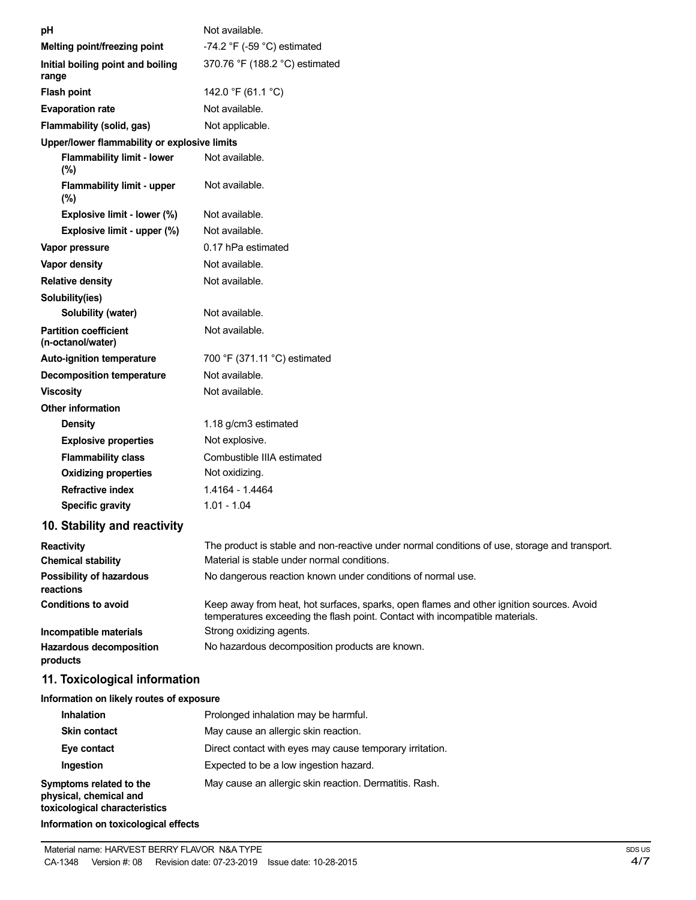| рH                                                | Not available.                                                                                                                                                           |
|---------------------------------------------------|--------------------------------------------------------------------------------------------------------------------------------------------------------------------------|
| Melting point/freezing point                      | -74.2 $\degree$ F (-59 $\degree$ C) estimated                                                                                                                            |
| Initial boiling point and boiling<br>range        | 370.76 °F (188.2 °C) estimated                                                                                                                                           |
| <b>Flash point</b>                                | 142.0 °F (61.1 °C)                                                                                                                                                       |
| <b>Evaporation rate</b>                           | Not available.                                                                                                                                                           |
| Flammability (solid, gas)                         | Not applicable.                                                                                                                                                          |
| Upper/lower flammability or explosive limits      |                                                                                                                                                                          |
| <b>Flammability limit - lower</b><br>(%)          | Not available.                                                                                                                                                           |
| <b>Flammability limit - upper</b><br>(%)          | Not available.                                                                                                                                                           |
| Explosive limit - lower (%)                       | Not available.                                                                                                                                                           |
| Explosive limit - upper (%)                       | Not available.                                                                                                                                                           |
| Vapor pressure                                    | 0.17 hPa estimated                                                                                                                                                       |
| Vapor density                                     | Not available.                                                                                                                                                           |
| <b>Relative density</b>                           | Not available.                                                                                                                                                           |
| Solubility(ies)                                   |                                                                                                                                                                          |
| Solubility (water)                                | Not available.                                                                                                                                                           |
| <b>Partition coefficient</b><br>(n-octanol/water) | Not available.                                                                                                                                                           |
| Auto-ignition temperature                         | 700 °F (371.11 °C) estimated                                                                                                                                             |
| <b>Decomposition temperature</b>                  | Not available.                                                                                                                                                           |
| <b>Viscosity</b>                                  | Not available.                                                                                                                                                           |
| <b>Other information</b>                          |                                                                                                                                                                          |
| <b>Density</b>                                    | 1.18 g/cm3 estimated                                                                                                                                                     |
| <b>Explosive properties</b>                       | Not explosive.                                                                                                                                                           |
| <b>Flammability class</b>                         | Combustible IIIA estimated                                                                                                                                               |
| <b>Oxidizing properties</b>                       | Not oxidizing.                                                                                                                                                           |
| <b>Refractive index</b>                           | 1.4164 - 1.4464                                                                                                                                                          |
| <b>Specific gravity</b>                           | $1.01 - 1.04$                                                                                                                                                            |
| 10. Stability and reactivity                      |                                                                                                                                                                          |
| <b>Reactivity</b>                                 | The product is stable and non-reactive under normal conditions of use, storage and transport.                                                                            |
| <b>Chemical stability</b>                         | Material is stable under normal conditions.                                                                                                                              |
| <b>Possibility of hazardous</b><br>reactions      | No dangerous reaction known under conditions of normal use.                                                                                                              |
| <b>Conditions to avoid</b>                        | Keep away from heat, hot surfaces, sparks, open flames and other ignition sources. Avoid<br>temperatures exceeding the flash point. Contact with incompatible materials. |
| Incompatible materials                            | Strong oxidizing agents.                                                                                                                                                 |
| Hazardous decomposition<br>products               | No hazardous decomposition products are known.                                                                                                                           |
| 11. Toxicological information                     |                                                                                                                                                                          |
| Information on likely routes of exposure          |                                                                                                                                                                          |
| Inhalation                                        | Prolonged inhalation may be harmful.                                                                                                                                     |
| CH.                                               | Marriagnese and allowais abin republic                                                                                                                                   |

| 11111 alguvi 1                                                                     | <u>T TUIUTIYEY IIIII MANUTTII MY DE HAITHINI.</u>        |
|------------------------------------------------------------------------------------|----------------------------------------------------------|
| <b>Skin contact</b>                                                                | May cause an allergic skin reaction.                     |
| Eye contact                                                                        | Direct contact with eyes may cause temporary irritation. |
| Ingestion                                                                          | Expected to be a low ingestion hazard.                   |
| Symptoms related to the<br>physical, chemical and<br>toxicological characteristics | May cause an allergic skin reaction. Dermatitis. Rash.   |
|                                                                                    |                                                          |

**Information on toxicological effects**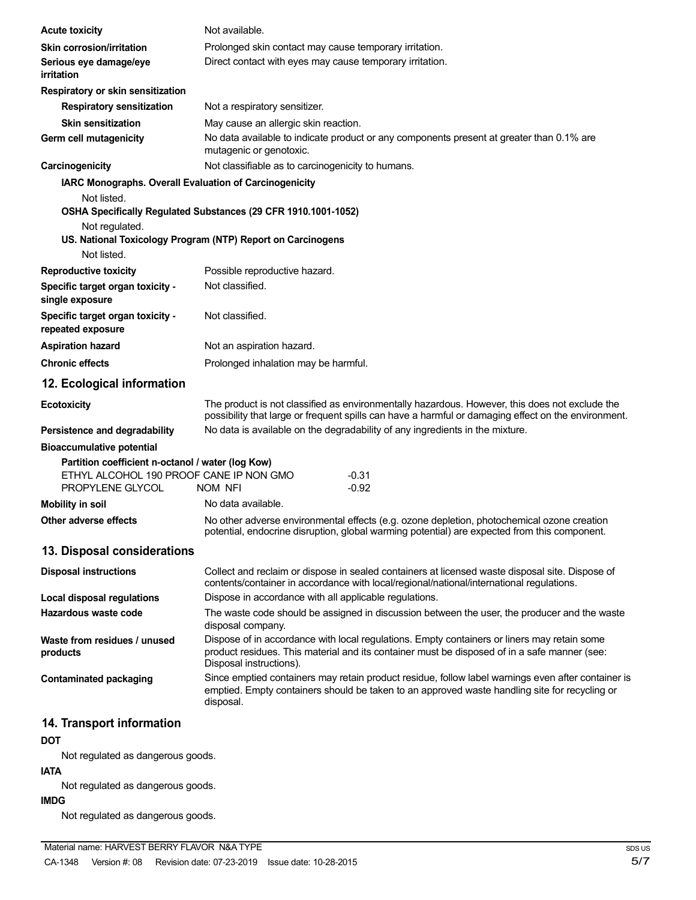| <b>Acute toxicity</b>                                                                                            | Not available.                                                                                                                                                                                                         |
|------------------------------------------------------------------------------------------------------------------|------------------------------------------------------------------------------------------------------------------------------------------------------------------------------------------------------------------------|
| <b>Skin corrosion/irritation</b>                                                                                 | Prolonged skin contact may cause temporary irritation.                                                                                                                                                                 |
| Serious eye damage/eye<br><i>irritation</i>                                                                      | Direct contact with eyes may cause temporary irritation.                                                                                                                                                               |
| Respiratory or skin sensitization                                                                                |                                                                                                                                                                                                                        |
| <b>Respiratory sensitization</b>                                                                                 | Not a respiratory sensitizer.                                                                                                                                                                                          |
| <b>Skin sensitization</b>                                                                                        | May cause an allergic skin reaction.                                                                                                                                                                                   |
| Germ cell mutagenicity                                                                                           | No data available to indicate product or any components present at greater than 0.1% are<br>mutagenic or genotoxic.                                                                                                    |
| Carcinogenicity                                                                                                  | Not classifiable as to carcinogenicity to humans.                                                                                                                                                                      |
| IARC Monographs. Overall Evaluation of Carcinogenicity                                                           |                                                                                                                                                                                                                        |
| Not listed.                                                                                                      |                                                                                                                                                                                                                        |
|                                                                                                                  | OSHA Specifically Regulated Substances (29 CFR 1910.1001-1052)                                                                                                                                                         |
| Not regulated.                                                                                                   |                                                                                                                                                                                                                        |
| Not listed.                                                                                                      | US. National Toxicology Program (NTP) Report on Carcinogens                                                                                                                                                            |
|                                                                                                                  | Possible reproductive hazard.                                                                                                                                                                                          |
| <b>Reproductive toxicity</b><br>Specific target organ toxicity -                                                 | Not classified.                                                                                                                                                                                                        |
| single exposure                                                                                                  |                                                                                                                                                                                                                        |
| Specific target organ toxicity -<br>repeated exposure                                                            | Not classified.                                                                                                                                                                                                        |
| <b>Aspiration hazard</b>                                                                                         | Not an aspiration hazard.                                                                                                                                                                                              |
| <b>Chronic effects</b>                                                                                           | Prolonged inhalation may be harmful.                                                                                                                                                                                   |
| 12. Ecological information                                                                                       |                                                                                                                                                                                                                        |
| <b>Ecotoxicity</b>                                                                                               | The product is not classified as environmentally hazardous. However, this does not exclude the<br>possibility that large or frequent spills can have a harmful or damaging effect on the environment.                  |
| Persistence and degradability                                                                                    | No data is available on the degradability of any ingredients in the mixture.                                                                                                                                           |
| <b>Bioaccumulative potential</b>                                                                                 |                                                                                                                                                                                                                        |
| Partition coefficient n-octanol / water (log Kow)<br>ETHYL ALCOHOL 190 PROOF CANE IP NON GMO<br>PROPYLENE GLYCOL | $-0.31$<br>$-0.92$<br>NOM NFI                                                                                                                                                                                          |
| <b>Mobility in soil</b>                                                                                          | No data available.                                                                                                                                                                                                     |
| Other adverse effects                                                                                            | No other adverse environmental effects (e.g. ozone depletion, photochemical ozone creation<br>potential, endocrine disruption, global warming potential) are expected from this component.                             |
| 13. Disposal considerations                                                                                      |                                                                                                                                                                                                                        |
| <b>Disposal instructions</b>                                                                                     | Collect and reclaim or dispose in sealed containers at licensed waste disposal site. Dispose of<br>contents/container in accordance with local/regional/national/international regulations.                            |
| <b>Local disposal regulations</b>                                                                                | Dispose in accordance with all applicable regulations.                                                                                                                                                                 |
| Hazardous waste code                                                                                             | The waste code should be assigned in discussion between the user, the producer and the waste<br>disposal company.                                                                                                      |
| Waste from residues / unused<br>products                                                                         | Dispose of in accordance with local regulations. Empty containers or liners may retain some<br>product residues. This material and its container must be disposed of in a safe manner (see:<br>Disposal instructions). |
| <b>Contaminated packaging</b>                                                                                    | Since emptied containers may retain product residue, follow label warnings even after container is<br>emptied. Empty containers should be taken to an approved waste handling site for recycling or<br>disposal.       |
| 14. Transport information                                                                                        |                                                                                                                                                                                                                        |
| <b>DOT</b>                                                                                                       |                                                                                                                                                                                                                        |
|                                                                                                                  |                                                                                                                                                                                                                        |

Not regulated as dangerous goods.

## **IATA**

Not regulated as dangerous goods.

# **IMDG**

Not regulated as dangerous goods.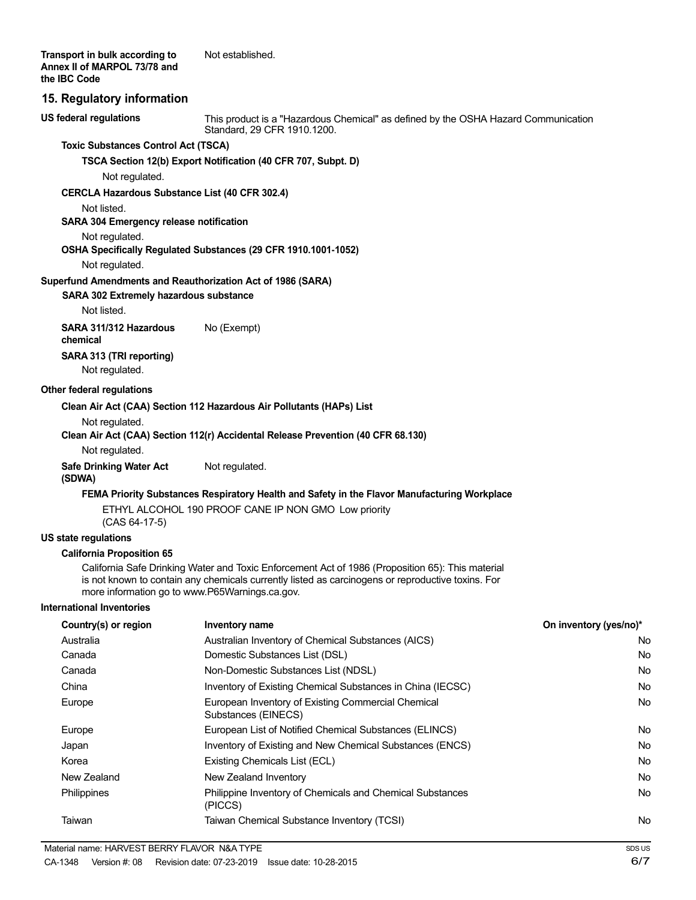## **15. Regulatory information**

**US federal regulations**

This product is a "Hazardous Chemical" as defined by the OSHA Hazard Communication Standard, 29 CFR 1910.1200.

## **Toxic Substances Control Act (TSCA)**

**TSCA Section 12(b) Export Notification (40 CFR 707, Subpt. D)**

Not regulated.

#### **CERCLA Hazardous Substance List (40 CFR 302.4)**

Not listed.

## **SARA 304 Emergency release notification**

Not regulated.

## **OSHA Specifically Regulated Substances (29 CFR 1910.1001-1052)**

Not regulated.

#### **Superfund Amendments and Reauthorization Act of 1986 (SARA)**

**SARA 302 Extremely hazardous substance**

Not listed.

**SARA 311/312 Hazardous** No (Exempt) **chemical SARA 313 (TRI reporting)** Not regulated.

#### **Other federal regulations**

#### **Clean Air Act (CAA) Section 112 Hazardous Air Pollutants (HAPs) List**

Not regulated.

#### **Clean Air Act (CAA) Section 112(r) Accidental Release Prevention (40 CFR 68.130)**

Not regulated.

#### **Safe Drinking Water Act** Not regulated. **(SDWA)**

#### **FEMA Priority Substances Respiratory Health and Safety in the Flavor Manufacturing Workplace**

ETHYL ALCOHOL 190 PROOF CANE IP NON GMO Low priority (CAS 64-17-5)

## **US state regulations**

#### **California Proposition 65**

California Safe Drinking Water and Toxic Enforcement Act of 1986 (Proposition 65): This material is not known to contain any chemicals currently listed as carcinogens or reproductive toxins. For more information go to www.P65Warnings.ca.gov.

#### **International Inventories**

| Country(s) or region | Inventory name                                                            | On inventory (yes/no)* |
|----------------------|---------------------------------------------------------------------------|------------------------|
| Australia            | Australian Inventory of Chemical Substances (AICS)                        | No                     |
| Canada               | Domestic Substances List (DSL)                                            | No                     |
| Canada               | Non-Domestic Substances List (NDSL)                                       | No                     |
| China                | Inventory of Existing Chemical Substances in China (IECSC)                | No                     |
| Europe               | European Inventory of Existing Commercial Chemical<br>Substances (EINECS) | No                     |
| Europe               | European List of Notified Chemical Substances (ELINCS)                    | No                     |
| Japan                | Inventory of Existing and New Chemical Substances (ENCS)                  | No                     |
| Korea                | Existing Chemicals List (ECL)                                             | No                     |
| New Zealand          | New Zealand Inventory                                                     | No                     |
| <b>Philippines</b>   | Philippine Inventory of Chemicals and Chemical Substances<br>(PICCS)      | No                     |
| Taiwan               | Taiwan Chemical Substance Inventory (TCSI)                                | No                     |